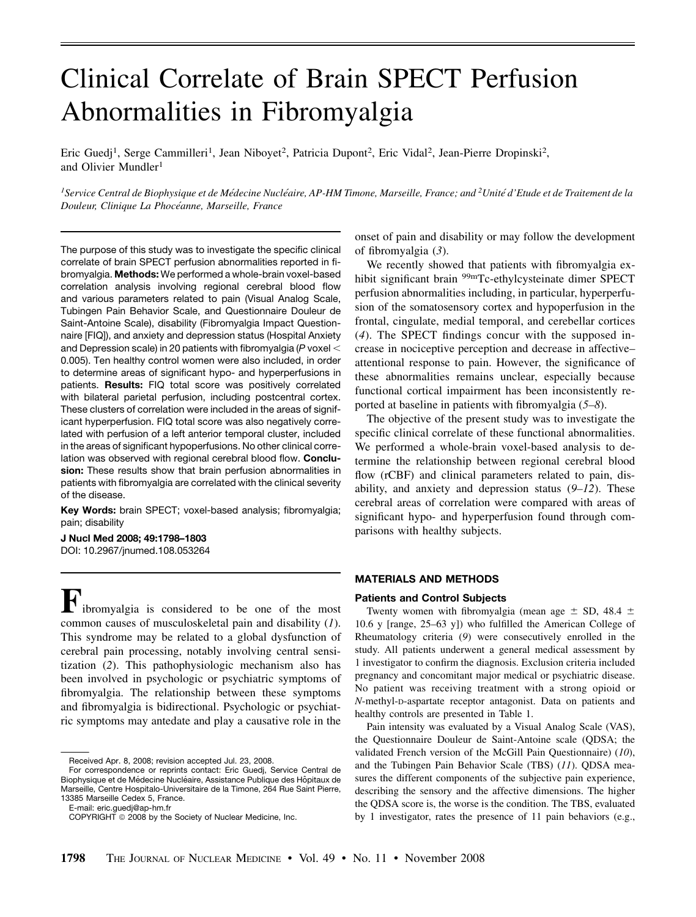# Clinical Correlate of Brain SPECT Perfusion Abnormalities in Fibromyalgia

Eric Guedj<sup>1</sup>, Serge Cammilleri<sup>1</sup>, Jean Niboyet<sup>2</sup>, Patricia Dupont<sup>2</sup>, Eric Vidal<sup>2</sup>, Jean-Pierre Dropinski<sup>2</sup>, and Olivier Mundler<sup>1</sup>

<sup>1</sup>Service Central de Biophysique et de Médecine Nucléaire, AP-HM Timone, Marseille, France; and <sup>2</sup>Unité d'Etude et de Traitement de la Douleur, Clinique La Phocéanne, Marseille, France

The purpose of this study was to investigate the specific clinical correlate of brain SPECT perfusion abnormalities reported in fibromyalgia. Methods: We performed a whole-brain voxel-based correlation analysis involving regional cerebral blood flow and various parameters related to pain (Visual Analog Scale, Tubingen Pain Behavior Scale, and Questionnaire Douleur de Saint-Antoine Scale), disability (Fibromyalgia Impact Questionnaire [FIQ]), and anxiety and depression status (Hospital Anxiety and Depression scale) in 20 patients with fibromyalgia (P voxel  $\leq$ 0.005). Ten healthy control women were also included, in order to determine areas of significant hypo- and hyperperfusions in patients. Results: FIQ total score was positively correlated with bilateral parietal perfusion, including postcentral cortex. These clusters of correlation were included in the areas of significant hyperperfusion. FIQ total score was also negatively correlated with perfusion of a left anterior temporal cluster, included in the areas of significant hypoperfusions. No other clinical correlation was observed with regional cerebral blood flow. Conclusion: These results show that brain perfusion abnormalities in patients with fibromyalgia are correlated with the clinical severity of the disease.

Key Words: brain SPECT; voxel-based analysis; fibromyalgia; pain; disability

J Nucl Med 2008; 49:1798–1803 DOI: 10.2967/jnumed.108.053264

 $\mathbf{F}_{\text{ibromyalgia}}$  is considered to be one of the most common causes of musculoskeletal pain and disability (1). This syndrome may be related to a global dysfunction of cerebral pain processing, notably involving central sensitization (2). This pathophysiologic mechanism also has been involved in psychologic or psychiatric symptoms of fibromyalgia. The relationship between these symptoms and fibromyalgia is bidirectional. Psychologic or psychiatric symptoms may antedate and play a causative role in the

E-mail: eric.guedj@ap-hm.fr

onset of pain and disability or may follow the development of fibromyalgia (3).

We recently showed that patients with fibromyalgia exhibit significant brain <sup>99m</sup>Tc-ethylcysteinate dimer SPECT perfusion abnormalities including, in particular, hyperperfusion of the somatosensory cortex and hypoperfusion in the frontal, cingulate, medial temporal, and cerebellar cortices (4). The SPECT findings concur with the supposed increase in nociceptive perception and decrease in affective– attentional response to pain. However, the significance of these abnormalities remains unclear, especially because functional cortical impairment has been inconsistently reported at baseline in patients with fibromyalgia (5–8).

The objective of the present study was to investigate the specific clinical correlate of these functional abnormalities. We performed a whole-brain voxel-based analysis to determine the relationship between regional cerebral blood flow (rCBF) and clinical parameters related to pain, disability, and anxiety and depression status  $(9-12)$ . These cerebral areas of correlation were compared with areas of significant hypo- and hyperperfusion found through comparisons with healthy subjects.

# MATERIALS AND METHODS

#### Patients and Control Subjects

Twenty women with fibromyalgia (mean age  $\pm$  SD, 48.4  $\pm$ 10.6 y [range, 25–63 y]) who fulfilled the American College of Rheumatology criteria (9) were consecutively enrolled in the study. All patients underwent a general medical assessment by 1 investigator to confirm the diagnosis. Exclusion criteria included pregnancy and concomitant major medical or psychiatric disease. No patient was receiving treatment with a strong opioid or N-methyl-D-aspartate receptor antagonist. Data on patients and healthy controls are presented in Table 1.

Pain intensity was evaluated by a Visual Analog Scale (VAS), the Questionnaire Douleur de Saint-Antoine scale (QDSA; the validated French version of the McGill Pain Questionnaire) (10), and the Tubingen Pain Behavior Scale (TBS) (11). QDSA measures the different components of the subjective pain experience, describing the sensory and the affective dimensions. The higher the QDSA score is, the worse is the condition. The TBS, evaluated by 1 investigator, rates the presence of 11 pain behaviors (e.g.,

Received Apr. 8, 2008; revision accepted Jul. 23, 2008.

For correspondence or reprints contact: Eric Guedj, Service Central de Biophysique et de Médecine Nucléaire, Assistance Publique des Hôpitaux de Marseille, Centre Hospitalo-Universitaire de la Timone, 264 Rue Saint Pierre, 13385 Marseille Cedex 5, France.

COPYRIGHT @ 2008 by the Society of Nuclear Medicine, Inc.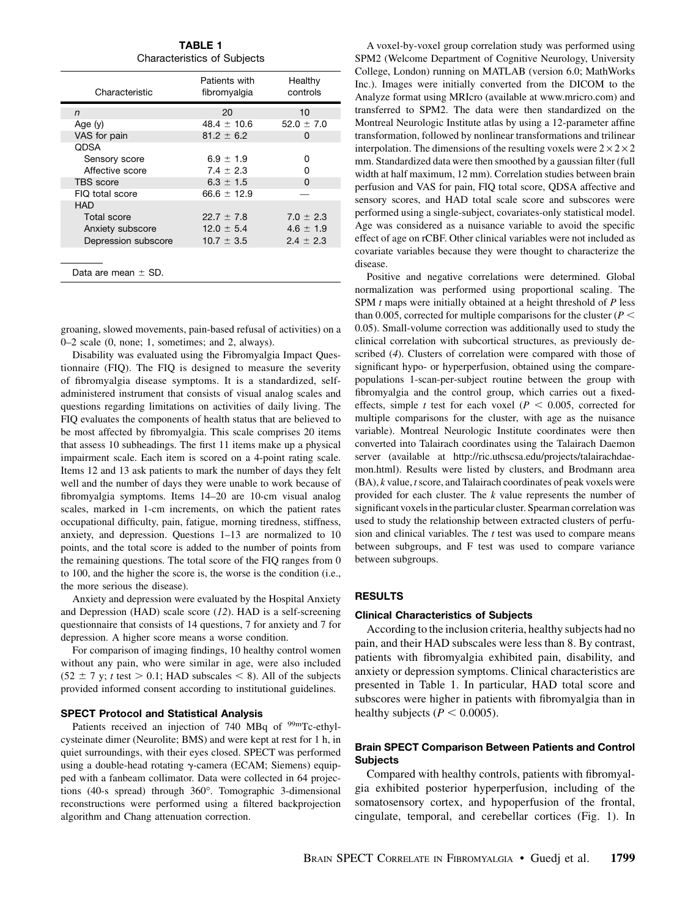TABLE 1 Characteristics of Subjects

| Characteristic          | Patients with<br>fibromyalgia | Healthy<br>controls |
|-------------------------|-------------------------------|---------------------|
| n                       | 20                            | 10                  |
| Age $(y)$               | $48.4 \pm 10.6$               | $52.0 \pm 7.0$      |
| VAS for pain            | $81.2 \pm 6.2$                | 0                   |
| <b>QDSA</b>             |                               |                     |
| Sensory score           | $6.9 \pm 1.9$                 | o                   |
| Affective score         | $7.4 \pm 2.3$                 | n                   |
| <b>TBS</b> score        | $6.3 \pm 1.5$                 | ŋ                   |
| FIQ total score         | $66.6 \pm 12.9$               |                     |
| <b>HAD</b>              |                               |                     |
| Total score             | $22.7 \pm 7.8$                | $7.0 \pm 2.3$       |
| Anxiety subscore        | $12.0 \pm 5.4$                | $4.6 \pm 1.9$       |
| Depression subscore     | $10.7 \pm 3.5$                | $2.4 \pm 2.3$       |
|                         |                               |                     |
| Data are mean $\pm$ SD. |                               |                     |

groaning, slowed movements, pain-based refusal of activities) on a 0–2 scale (0, none; 1, sometimes; and 2, always).

Disability was evaluated using the Fibromyalgia Impact Questionnaire (FIQ). The FIQ is designed to measure the severity of fibromyalgia disease symptoms. It is a standardized, selfadministered instrument that consists of visual analog scales and questions regarding limitations on activities of daily living. The FIQ evaluates the components of health status that are believed to be most affected by fibromyalgia. This scale comprises 20 items that assess 10 subheadings. The first 11 items make up a physical impairment scale. Each item is scored on a 4-point rating scale. Items 12 and 13 ask patients to mark the number of days they felt well and the number of days they were unable to work because of fibromyalgia symptoms. Items 14–20 are 10-cm visual analog scales, marked in 1-cm increments, on which the patient rates occupational difficulty, pain, fatigue, morning tiredness, stiffness, anxiety, and depression. Questions 1–13 are normalized to 10 points, and the total score is added to the number of points from the remaining questions. The total score of the FIQ ranges from 0 to 100, and the higher the score is, the worse is the condition (i.e., the more serious the disease).

Anxiety and depression were evaluated by the Hospital Anxiety and Depression (HAD) scale score (12). HAD is a self-screening questionnaire that consists of 14 questions, 7 for anxiety and 7 for depression. A higher score means a worse condition.

For comparison of imaging findings, 10 healthy control women without any pain, who were similar in age, were also included  $(52 \pm 7 \text{ y}; t \text{ test} > 0.1; \text{HAD} \text{ subscales} < 8)$ . All of the subjects provided informed consent according to institutional guidelines.

#### SPECT Protocol and Statistical Analysis

Patients received an injection of 740 MBq of <sup>99m</sup>Tc-ethylcysteinate dimer (Neurolite; BMS) and were kept at rest for 1 h, in quiet surroundings, with their eyes closed. SPECT was performed using a double-head rotating  $\gamma$ -camera (ECAM; Siemens) equipped with a fanbeam collimator. Data were collected in 64 projections (40-s spread) through 360°. Tomographic 3-dimensional reconstructions were performed using a filtered backprojection algorithm and Chang attenuation correction.

A voxel-by-voxel group correlation study was performed using SPM2 (Welcome Department of Cognitive Neurology, University College, London) running on MATLAB (version 6.0; MathWorks Inc.). Images were initially converted from the DICOM to the Analyze format using MRIcro (available at www.mricro.com) and transferred to SPM2. The data were then standardized on the Montreal Neurologic Institute atlas by using a 12-parameter affine transformation, followed by nonlinear transformations and trilinear interpolation. The dimensions of the resulting voxels were  $2 \times 2 \times 2$ mm. Standardized data were then smoothed by a gaussian filter (full width at half maximum, 12 mm). Correlation studies between brain perfusion and VAS for pain, FIQ total score, QDSA affective and sensory scores, and HAD total scale score and subscores were performed using a single-subject, covariates-only statistical model. Age was considered as a nuisance variable to avoid the specific effect of age on rCBF. Other clinical variables were not included as covariate variables because they were thought to characterize the disease.

Positive and negative correlations were determined. Global normalization was performed using proportional scaling. The SPM  $t$  maps were initially obtained at a height threshold of  $P$  less than 0.005, corrected for multiple comparisons for the cluster ( $P <$ 0.05). Small-volume correction was additionally used to study the clinical correlation with subcortical structures, as previously described (4). Clusters of correlation were compared with those of significant hypo- or hyperperfusion, obtained using the comparepopulations 1-scan-per-subject routine between the group with fibromyalgia and the control group, which carries out a fixedeffects, simple t test for each voxel ( $P < 0.005$ , corrected for multiple comparisons for the cluster, with age as the nuisance variable). Montreal Neurologic Institute coordinates were then converted into Talairach coordinates using the Talairach Daemon server (available at http://ric.uthscsa.edu/projects/talairachdaemon.html). Results were listed by clusters, and Brodmann area  $(BA)$ ,  $k$  value,  $t$  score, and Talairach coordinates of peak voxels were provided for each cluster. The  $k$  value represents the number of significant voxels in the particular cluster. Spearman correlation was used to study the relationship between extracted clusters of perfusion and clinical variables. The  $t$  test was used to compare means between subgroups, and F test was used to compare variance between subgroups.

# RESULTS

### Clinical Characteristics of Subjects

According to the inclusion criteria, healthy subjects had no pain, and their HAD subscales were less than 8. By contrast, patients with fibromyalgia exhibited pain, disability, and anxiety or depression symptoms. Clinical characteristics are presented in Table 1. In particular, HAD total score and subscores were higher in patients with fibromyalgia than in healthy subjects ( $P < 0.0005$ ).

# Brain SPECT Comparison Between Patients and Control **Subjects**

Compared with healthy controls, patients with fibromyalgia exhibited posterior hyperperfusion, including of the somatosensory cortex, and hypoperfusion of the frontal, cingulate, temporal, and cerebellar cortices (Fig. 1). In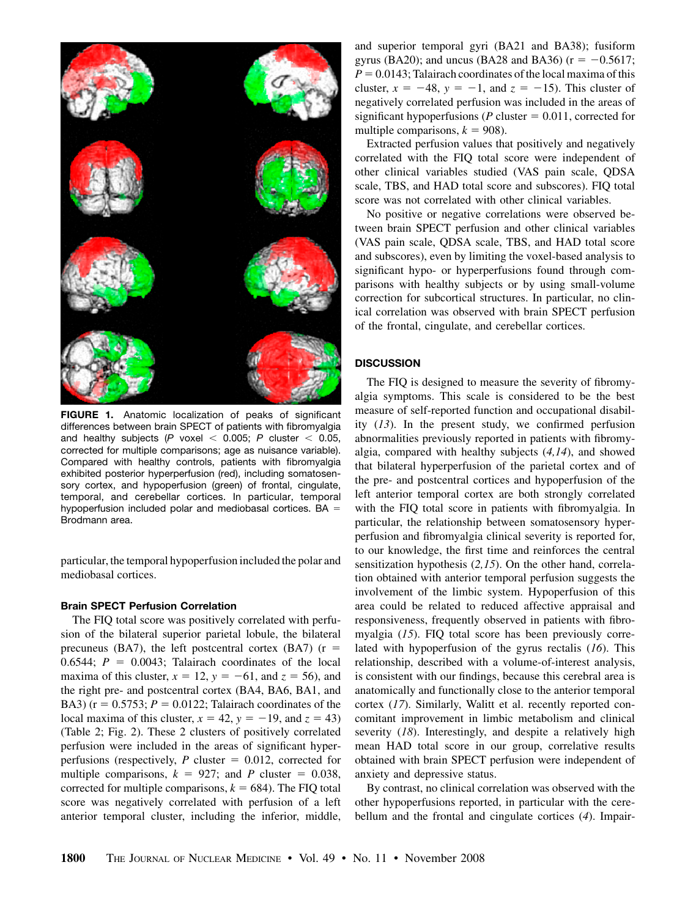

FIGURE 1. Anatomic localization of peaks of significant differences between brain SPECT of patients with fibromyalgia and healthy subjects  $(P \text{ voxel} < 0.005; P \text{ cluster} < 0.05,$ corrected for multiple comparisons; age as nuisance variable). Compared with healthy controls, patients with fibromyalgia exhibited posterior hyperperfusion (red), including somatosensory cortex, and hypoperfusion (green) of frontal, cingulate, temporal, and cerebellar cortices. In particular, temporal hypoperfusion included polar and mediobasal cortices.  $BA =$ Brodmann area.

particular, the temporal hypoperfusion included the polar and mediobasal cortices.

## Brain SPECT Perfusion Correlation

The FIQ total score was positively correlated with perfusion of the bilateral superior parietal lobule, the bilateral precuneus (BA7), the left postcentral cortex (BA7) ( $r =$ 0.6544;  $P = 0.0043$ ; Talairach coordinates of the local maxima of this cluster,  $x = 12$ ,  $y = -61$ , and  $z = 56$ ), and the right pre- and postcentral cortex (BA4, BA6, BA1, and BA3) ( $r = 0.5753$ ;  $P = 0.0122$ ; Talairach coordinates of the local maxima of this cluster,  $x = 42$ ,  $y = -19$ , and  $z = 43$ ) (Table 2; Fig. 2). These 2 clusters of positively correlated perfusion were included in the areas of significant hyperperfusions (respectively,  $P$  cluster = 0.012, corrected for multiple comparisons,  $k = 927$ ; and P cluster = 0.038, corrected for multiple comparisons,  $k = 684$ ). The FIQ total score was negatively correlated with perfusion of a left anterior temporal cluster, including the inferior, middle, and superior temporal gyri (BA21 and BA38); fusiform gyrus (BA20); and uncus (BA28 and BA36) ( $r = -0.5617$ ;  $P = 0.0143$ ; Talairach coordinates of the local maxima of this cluster,  $x = -48$ ,  $y = -1$ , and  $z = -15$ ). This cluster of negatively correlated perfusion was included in the areas of significant hypoperfusions ( $P$  cluster = 0.011, corrected for multiple comparisons,  $k = 908$ ).

Extracted perfusion values that positively and negatively correlated with the FIQ total score were independent of other clinical variables studied (VAS pain scale, QDSA scale, TBS, and HAD total score and subscores). FIQ total score was not correlated with other clinical variables.

No positive or negative correlations were observed between brain SPECT perfusion and other clinical variables (VAS pain scale, QDSA scale, TBS, and HAD total score and subscores), even by limiting the voxel-based analysis to significant hypo- or hyperperfusions found through comparisons with healthy subjects or by using small-volume correction for subcortical structures. In particular, no clinical correlation was observed with brain SPECT perfusion of the frontal, cingulate, and cerebellar cortices.

## **DISCUSSION**

The FIQ is designed to measure the severity of fibromyalgia symptoms. This scale is considered to be the best measure of self-reported function and occupational disability (13). In the present study, we confirmed perfusion abnormalities previously reported in patients with fibromyalgia, compared with healthy subjects  $(4,14)$ , and showed that bilateral hyperperfusion of the parietal cortex and of the pre- and postcentral cortices and hypoperfusion of the left anterior temporal cortex are both strongly correlated with the FIQ total score in patients with fibromyalgia. In particular, the relationship between somatosensory hyperperfusion and fibromyalgia clinical severity is reported for, to our knowledge, the first time and reinforces the central sensitization hypothesis (2,15). On the other hand, correlation obtained with anterior temporal perfusion suggests the involvement of the limbic system. Hypoperfusion of this area could be related to reduced affective appraisal and responsiveness, frequently observed in patients with fibromyalgia (15). FIQ total score has been previously correlated with hypoperfusion of the gyrus rectalis  $(16)$ . This relationship, described with a volume-of-interest analysis, is consistent with our findings, because this cerebral area is anatomically and functionally close to the anterior temporal cortex (17). Similarly, Walitt et al. recently reported concomitant improvement in limbic metabolism and clinical severity (18). Interestingly, and despite a relatively high mean HAD total score in our group, correlative results obtained with brain SPECT perfusion were independent of anxiety and depressive status.

By contrast, no clinical correlation was observed with the other hypoperfusions reported, in particular with the cerebellum and the frontal and cingulate cortices (4). Impair-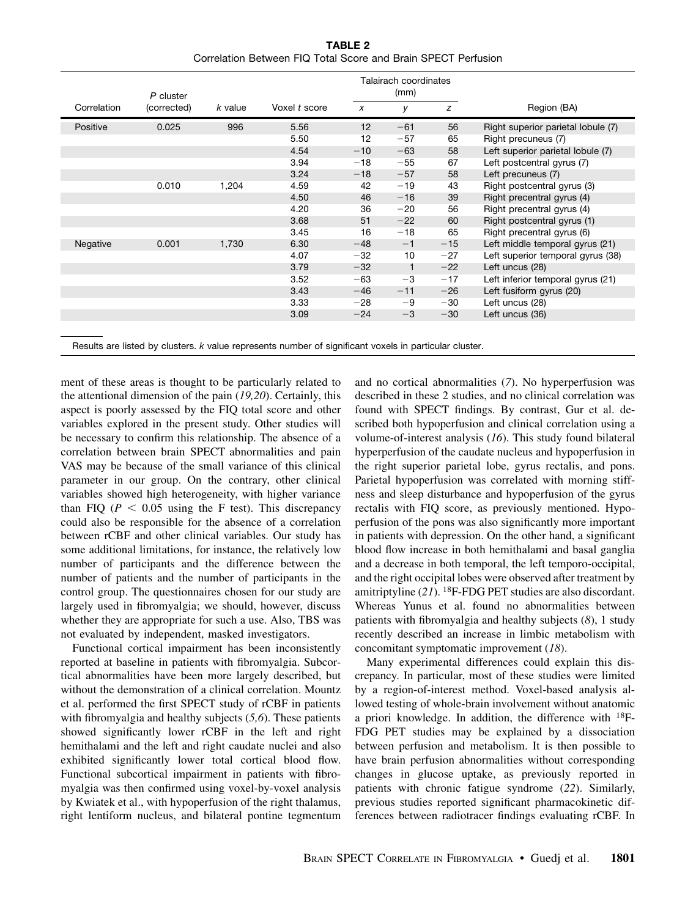TABLE 2 Correlation Between FIQ Total Score and Brain SPECT Perfusion

|             | P cluster   |         |               |       | Talairach coordinates<br>(mm) |       |                                    |
|-------------|-------------|---------|---------------|-------|-------------------------------|-------|------------------------------------|
| Correlation | (corrected) | k value | Voxel t score | X     | У                             | z     | Region (BA)                        |
| Positive    | 0.025       | 996     | 5.56          | 12    | $-61$                         | 56    | Right superior parietal lobule (7) |
|             |             |         | 5.50          | 12    | $-57$                         | 65    | Right precuneus (7)                |
|             |             |         | 4.54          | $-10$ | $-63$                         | 58    | Left superior parietal lobule (7)  |
|             |             |         | 3.94          | $-18$ | $-55$                         | 67    | Left postcentral gyrus (7)         |
|             |             |         | 3.24          | $-18$ | $-57$                         | 58    | Left precuneus (7)                 |
|             | 0.010       | 1,204   | 4.59          | 42    | $-19$                         | 43    | Right postcentral gyrus (3)        |
|             |             |         | 4.50          | 46    | $-16$                         | 39    | Right precentral gyrus (4)         |
|             |             |         | 4.20          | 36    | $-20$                         | 56    | Right precentral gyrus (4)         |
|             |             |         | 3.68          | 51    | $-22$                         | 60    | Right postcentral gyrus (1)        |
|             |             |         | 3.45          | 16    | $-18$                         | 65    | Right precentral gyrus (6)         |
| Negative    | 0.001       | 1,730   | 6.30          | $-48$ | $-1$                          | $-15$ | Left middle temporal gyrus (21)    |
|             |             |         | 4.07          | $-32$ | 10                            | $-27$ | Left superior temporal gyrus (38)  |
|             |             |         | 3.79          | $-32$ | $\mathbf{1}$                  | $-22$ | Left uncus (28)                    |
|             |             |         | 3.52          | $-63$ | $-3$                          | $-17$ | Left inferior temporal gyrus (21)  |
|             |             |         | 3.43          | $-46$ | $-11$                         | $-26$ | Left fusiform gyrus (20)           |
|             |             |         | 3.33          | $-28$ | -9                            | $-30$ | Left uncus (28)                    |
|             |             |         | 3.09          | $-24$ | $-3$                          | $-30$ | Left uncus (36)                    |

Results are listed by clusters. *k* value represents number of significant voxels in particular cluster.

ment of these areas is thought to be particularly related to the attentional dimension of the pain (19,20). Certainly, this aspect is poorly assessed by the FIQ total score and other variables explored in the present study. Other studies will be necessary to confirm this relationship. The absence of a correlation between brain SPECT abnormalities and pain VAS may be because of the small variance of this clinical parameter in our group. On the contrary, other clinical variables showed high heterogeneity, with higher variance than FIQ ( $P < 0.05$  using the F test). This discrepancy could also be responsible for the absence of a correlation between rCBF and other clinical variables. Our study has some additional limitations, for instance, the relatively low number of participants and the difference between the number of patients and the number of participants in the control group. The questionnaires chosen for our study are largely used in fibromyalgia; we should, however, discuss whether they are appropriate for such a use. Also, TBS was not evaluated by independent, masked investigators.

Functional cortical impairment has been inconsistently reported at baseline in patients with fibromyalgia. Subcortical abnormalities have been more largely described, but without the demonstration of a clinical correlation. Mountz et al. performed the first SPECT study of rCBF in patients with fibromyalgia and healthy subjects  $(5,6)$ . These patients showed significantly lower rCBF in the left and right hemithalami and the left and right caudate nuclei and also exhibited significantly lower total cortical blood flow. Functional subcortical impairment in patients with fibromyalgia was then confirmed using voxel-by-voxel analysis by Kwiatek et al., with hypoperfusion of the right thalamus, right lentiform nucleus, and bilateral pontine tegmentum and no cortical abnormalities (7). No hyperperfusion was described in these 2 studies, and no clinical correlation was found with SPECT findings. By contrast, Gur et al. described both hypoperfusion and clinical correlation using a volume-of-interest analysis (16). This study found bilateral hyperperfusion of the caudate nucleus and hypoperfusion in the right superior parietal lobe, gyrus rectalis, and pons. Parietal hypoperfusion was correlated with morning stiffness and sleep disturbance and hypoperfusion of the gyrus rectalis with FIQ score, as previously mentioned. Hypoperfusion of the pons was also significantly more important in patients with depression. On the other hand, a significant blood flow increase in both hemithalami and basal ganglia and a decrease in both temporal, the left temporo-occipital, and the right occipital lobes were observed after treatment by amitriptyline  $(21)$ . <sup>18</sup>F-FDG PET studies are also discordant. Whereas Yunus et al. found no abnormalities between patients with fibromyalgia and healthy subjects (8), 1 study recently described an increase in limbic metabolism with concomitant symptomatic improvement (18).

Many experimental differences could explain this discrepancy. In particular, most of these studies were limited by a region-of-interest method. Voxel-based analysis allowed testing of whole-brain involvement without anatomic a priori knowledge. In addition, the difference with  $^{18}F-$ FDG PET studies may be explained by a dissociation between perfusion and metabolism. It is then possible to have brain perfusion abnormalities without corresponding changes in glucose uptake, as previously reported in patients with chronic fatigue syndrome (22). Similarly, previous studies reported significant pharmacokinetic differences between radiotracer findings evaluating rCBF. In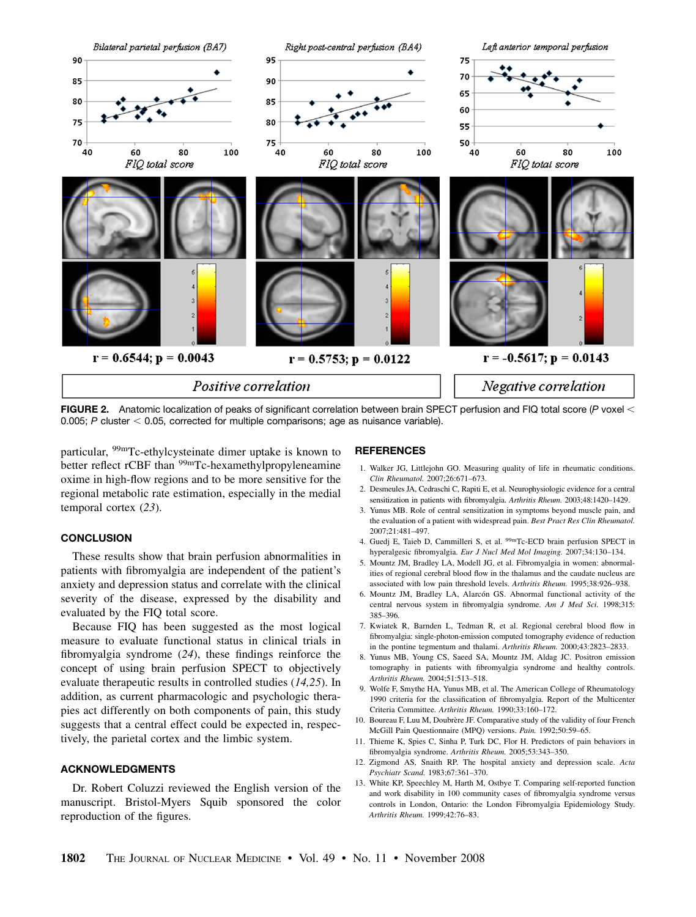

FIGURE 2. Anatomic localization of peaks of significant correlation between brain SPECT perfusion and FIQ total score (P voxel < 0.005; *P* cluster < 0.05, corrected for multiple comparisons; age as nuisance variable).

particular, 99mTc-ethylcysteinate dimer uptake is known to better reflect rCBF than <sup>99m</sup>Tc-hexamethylpropyleneamine oxime in high-flow regions and to be more sensitive for the regional metabolic rate estimation, especially in the medial temporal cortex (23).

# **CONCLUSION**

These results show that brain perfusion abnormalities in patients with fibromyalgia are independent of the patient's anxiety and depression status and correlate with the clinical severity of the disease, expressed by the disability and evaluated by the FIQ total score.

Because FIQ has been suggested as the most logical measure to evaluate functional status in clinical trials in fibromyalgia syndrome (24), these findings reinforce the concept of using brain perfusion SPECT to objectively evaluate therapeutic results in controlled studies (14,25). In addition, as current pharmacologic and psychologic therapies act differently on both components of pain, this study suggests that a central effect could be expected in, respectively, the parietal cortex and the limbic system.

## ACKNOWLEDGMENTS

Dr. Robert Coluzzi reviewed the English version of the manuscript. Bristol-Myers Squib sponsored the color reproduction of the figures.

## **REFERENCES**

- 1. Walker JG, Littlejohn GO. Measuring quality of life in rheumatic conditions. Clin Rheumatol. 2007;26:671–673.
- 2. Desmeules JA, Cedraschi C, Rapiti E, et al. Neurophysiologic evidence for a central sensitization in patients with fibromyalgia. Arthritis Rheum. 2003;48:1420–1429.
- 3. Yunus MB. Role of central sensitization in symptoms beyond muscle pain, and the evaluation of a patient with widespread pain. Best Pract Res Clin Rheumatol. 2007;21:481–497.
- 4. Guedj E, Taieb D, Cammilleri S, et al. 99mTc-ECD brain perfusion SPECT in hyperalgesic fibromyalgia. Eur J Nucl Med Mol Imaging. 2007;34:130–134.
- 5. Mountz JM, Bradley LA, Modell JG, et al. Fibromyalgia in women: abnormalities of regional cerebral blood flow in the thalamus and the caudate nucleus are associated with low pain threshold levels. Arthritis Rheum. 1995;38:926–938.
- 6. Mountz JM, Bradley LA, Alarcón GS. Abnormal functional activity of the central nervous system in fibromyalgia syndrome. Am J Med Sci. 1998;315: 385–396.
- 7. Kwiatek R, Barnden L, Tedman R, et al. Regional cerebral blood flow in fibromyalgia: single-photon-emission computed tomography evidence of reduction in the pontine tegmentum and thalami. Arthritis Rheum. 2000;43:2823–2833.
- 8. Yunus MB, Young CS, Saeed SA, Mountz JM, Aldag JC. Positron emission tomography in patients with fibromyalgia syndrome and healthy controls. Arthritis Rheum. 2004;51:513–518.
- 9. Wolfe F, Smythe HA, Yunus MB, et al. The American College of Rheumatology 1990 criteria for the classification of fibromyalgia. Report of the Multicenter Criteria Committee. Arthritis Rheum. 1990;33:160–172.
- 10. Boureau F, Luu M, Doubrère JF. Comparative study of the validity of four French McGill Pain Questionnaire (MPQ) versions. Pain. 1992;50:59–65.
- 11. Thieme K, Spies C, Sinha P, Turk DC, Flor H. Predictors of pain behaviors in fibromyalgia syndrome. Arthritis Rheum. 2005;53:343–350.
- 12. Zigmond AS, Snaith RP. The hospital anxiety and depression scale. Acta Psychiatr Scand. 1983;67:361–370.
- 13. White KP, Speechley M, Harth M, Ostbye T. Comparing self-reported function and work disability in 100 community cases of fibromyalgia syndrome versus controls in London, Ontario: the London Fibromyalgia Epidemiology Study. Arthritis Rheum. 1999;42:76–83.